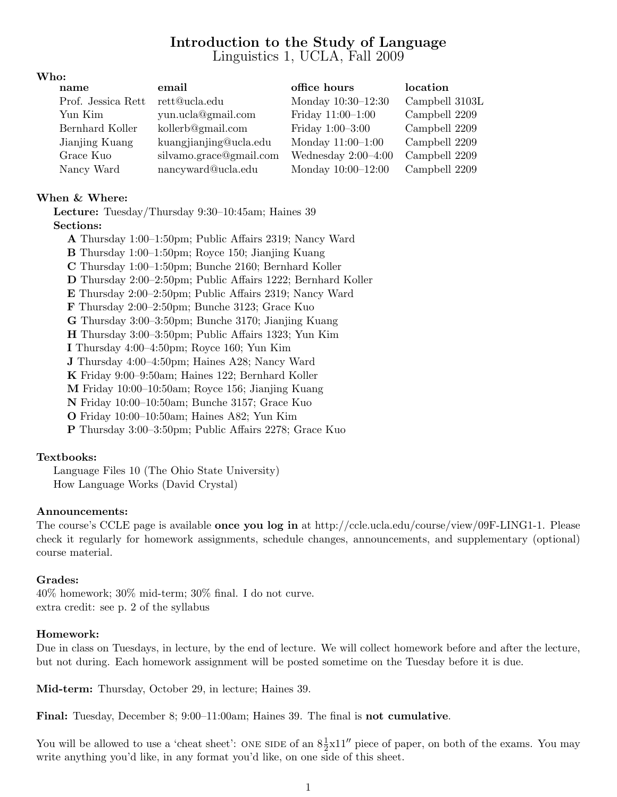# Introduction to the Study of Language Linguistics 1, UCLA, Fall 2009

#### Who:

| name               | email                   | office hours          | location       |
|--------------------|-------------------------|-----------------------|----------------|
| Prof. Jessica Rett | rett@ucla.edu           | Monday 10:30-12:30    | Campbell 3103L |
| Yun Kim            | yun.ucla@gmail.com      | Friday $11:00-1:00$   | Campbell 2209  |
| Bernhard Koller    | kollerb@gmail.com       | Friday $1:00-3:00$    | Campbell 2209  |
| Jianjing Kuang     | kuangjianjing@ucla.edu  | Monday $11:00-1:00$   | Campbell 2209  |
| Grace Kuo          | silvamo.grace@gmail.com | Wednesday $2:00-4:00$ | Campbell 2209  |
| Nancy Ward         | nancyward@ucla.edu      | Monday $10:00-12:00$  | Campbell 2209  |

#### When & Where:

Lecture: Tuesday/Thursday 9:30–10:45am; Haines 39 Sections:

A Thursday 1:00–1:50pm; Public Affairs 2319; Nancy Ward B Thursday 1:00–1:50pm; Royce 150; Jianjing Kuang C Thursday 1:00–1:50pm; Bunche 2160; Bernhard Koller D Thursday 2:00–2:50pm; Public Affairs 1222; Bernhard Koller E Thursday 2:00–2:50pm; Public Affairs 2319; Nancy Ward F Thursday 2:00–2:50pm; Bunche 3123; Grace Kuo G Thursday 3:00–3:50pm; Bunche 3170; Jianjing Kuang H Thursday 3:00–3:50pm; Public Affairs 1323; Yun Kim I Thursday 4:00–4:50pm; Royce 160; Yun Kim J Thursday 4:00–4:50pm; Haines A28; Nancy Ward K Friday 9:00–9:50am; Haines 122; Bernhard Koller M Friday 10:00–10:50am; Royce 156; Jianjing Kuang N Friday 10:00–10:50am; Bunche 3157; Grace Kuo O Friday 10:00–10:50am; Haines A82; Yun Kim P Thursday 3:00–3:50pm; Public Affairs 2278; Grace Kuo

# Textbooks:

Language Files 10 (The Ohio State University) How Language Works (David Crystal)

#### Announcements:

The course's CCLE page is available once you log in at http://ccle.ucla.edu/course/view/09F-LING1-1. Please check it regularly for homework assignments, schedule changes, announcements, and supplementary (optional) course material.

#### Grades:

40% homework; 30% mid-term; 30% final. I do not curve. extra credit: see p. 2 of the syllabus

#### Homework:

Due in class on Tuesdays, in lecture, by the end of lecture. We will collect homework before and after the lecture, but not during. Each homework assignment will be posted sometime on the Tuesday before it is due.

Mid-term: Thursday, October 29, in lecture; Haines 39.

Final: Tuesday, December 8; 9:00–11:00am; Haines 39. The final is not cumulative.

You will be allowed to use a 'cheat sheet': ONE SIDE of an  $8\frac{1}{2}x11''$  piece of paper, on both of the exams. You may write anything you'd like, in any format you'd like, on one side of this sheet.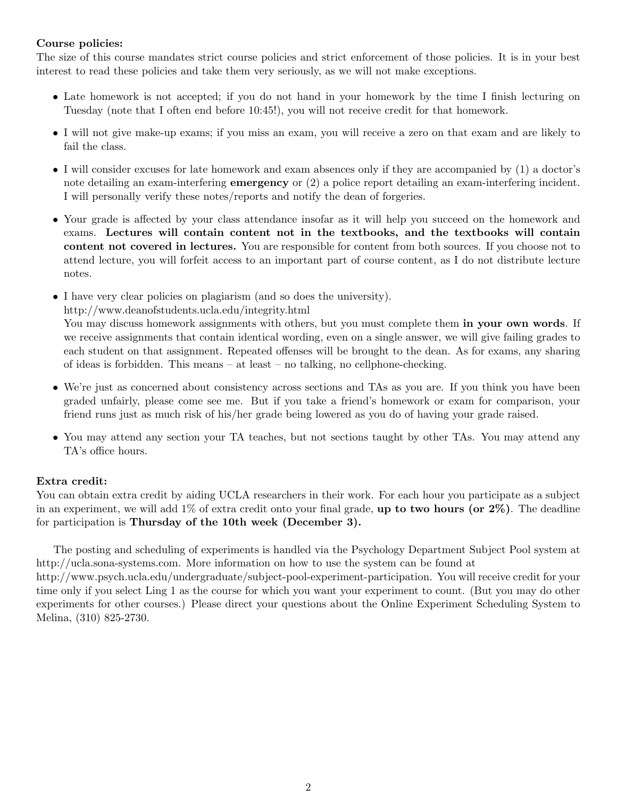### Course policies:

The size of this course mandates strict course policies and strict enforcement of those policies. It is in your best interest to read these policies and take them very seriously, as we will not make exceptions.

- Late homework is not accepted; if you do not hand in your homework by the time I finish lecturing on Tuesday (note that I often end before 10:45!), you will not receive credit for that homework.
- I will not give make-up exams; if you miss an exam, you will receive a zero on that exam and are likely to fail the class.
- I will consider excuses for late homework and exam absences only if they are accompanied by (1) a doctor's note detailing an exam-interfering emergency or (2) a police report detailing an exam-interfering incident. I will personally verify these notes/reports and notify the dean of forgeries.
- Your grade is affected by your class attendance insofar as it will help you succeed on the homework and exams. Lectures will contain content not in the textbooks, and the textbooks will contain content not covered in lectures. You are responsible for content from both sources. If you choose not to attend lecture, you will forfeit access to an important part of course content, as I do not distribute lecture notes.
- I have very clear policies on plagiarism (and so does the university). http://www.deanofstudents.ucla.edu/integrity.html You may discuss homework assignments with others, but you must complete them in your own words. If we receive assignments that contain identical wording, even on a single answer, we will give failing grades to each student on that assignment. Repeated offenses will be brought to the dean. As for exams, any sharing of ideas is forbidden. This means – at least – no talking, no cellphone-checking.
- We're just as concerned about consistency across sections and TAs as you are. If you think you have been graded unfairly, please come see me. But if you take a friend's homework or exam for comparison, your friend runs just as much risk of his/her grade being lowered as you do of having your grade raised.
- You may attend any section your TA teaches, but not sections taught by other TAs. You may attend any TA's office hours.

# Extra credit:

You can obtain extra credit by aiding UCLA researchers in their work. For each hour you participate as a subject in an experiment, we will add  $1\%$  of extra credit onto your final grade, **up to two hours (or 2%)**. The deadline for participation is Thursday of the 10th week (December 3).

The posting and scheduling of experiments is handled via the Psychology Department Subject Pool system at http://ucla.sona-systems.com. More information on how to use the system can be found at

http://www.psych.ucla.edu/undergraduate/subject-pool-experiment-participation. You will receive credit for your time only if you select Ling 1 as the course for which you want your experiment to count. (But you may do other experiments for other courses.) Please direct your questions about the Online Experiment Scheduling System to Melina, (310) 825-2730.